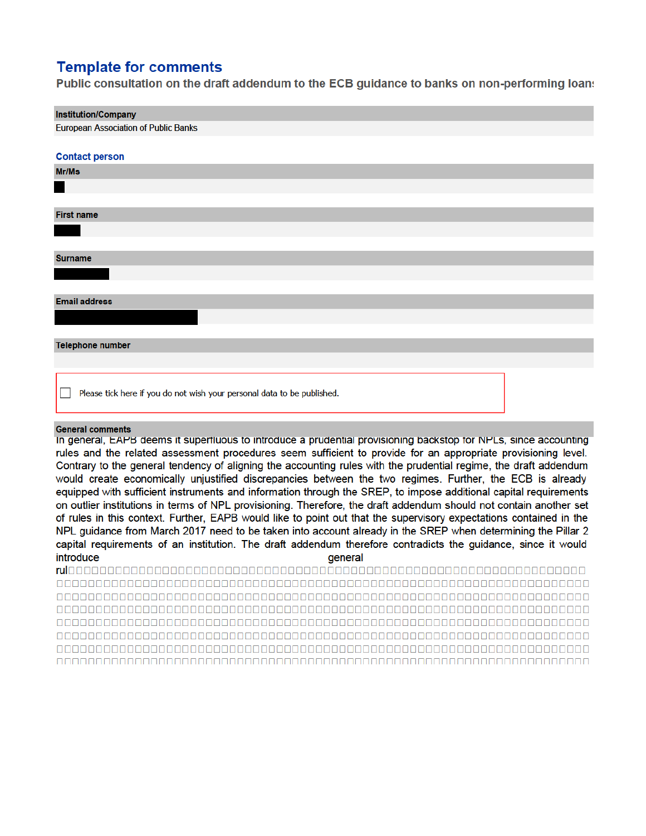## **Template for comments**

Public consultation on the draft addendum to the ECB guidance to banks on non-performing loans

# **Institution/Company European Association of Public Banks Contact person** Mr/Ms **First name Surname Email address Telephone number** Please tick here if you do not wish your personal data to be published.

### **General comments**

In general, EAPB deems it superfluous to introduce a prudential provisioning backstop for NPLs, since accounting rules and the related assessment procedures seem sufficient to provide for an appropriate provisioning level. Contrary to the general tendency of aligning the accounting rules with the prudential regime, the draft addendum would create economically unjustified discrepancies between the two regimes. Further, the ECB is already equipped with sufficient instruments and information through the SREP, to impose additional capital requirements on outlier institutions in terms of NPL provisioning. Therefore, the draft addendum should not contain another set of rules in this context. Further, EAPB would like to point out that the supervisory expectations contained in the NPL guidance from March 2017 need to be taken into account already in the SREP when determining the Pillar 2 capital requirements of an institution. The draft addendum therefore contradicts the guidance, since it would introduce general

nnnnnnnn nnnnnnnnnn <u>AAAAAAAAAAAAAAAAAAAAA</u>